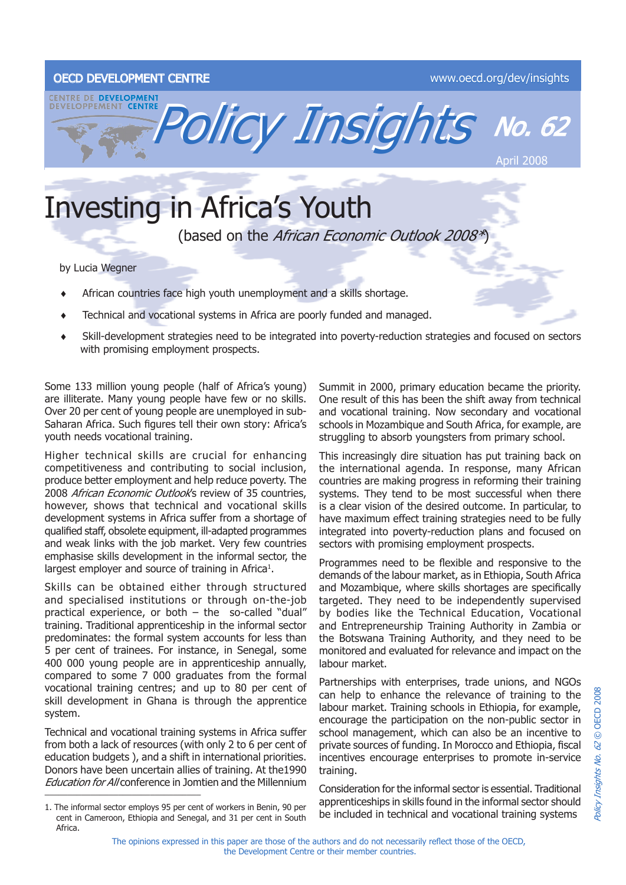## OECD DEVELOPMENT CENTRE www.oecd.org/dev/insights



## Investing in Africa's Youth

(based on the African Economic Outlook 2008\*)

by Lucia Wegner

- African countries face high youth unemployment and a skills shortage. ♦
- Technical and vocational systems in Africa are poorly funded and managed. ♦
- Skill-development strategies need to be integrated into poverty-reduction strategies and focused on sectors with promising employment prospects. ♦

Some 133 million young people (half of Africa's young) are illiterate. Many young people have few or no skills. Over 20 per cent of young people are unemployed in sub-Saharan Africa. Such figures tell their own story: Africa's youth needs vocational training.

Higher technical skills are crucial for enhancing competitiveness and contributing to social inclusion, produce better employment and help reduce poverty. The 2008 African Economic Outlook's review of 35 countries, however, shows that technical and vocational skills development systems in Africa suffer from a shortage of qualified staff, obsolete equipment, ill-adapted programmes and weak links with the job market. Very few countries emphasise skills development in the informal sector, the largest employer and source of training in Africa<sup>1</sup>.

Skills can be obtained either through structured and specialised institutions or through on-the-job practical experience, or both – the so-called "dual" training. Traditional apprenticeship in the informal sector predominates: the formal system accounts for less than 5 per cent of trainees. For instance, in Senegal, some 400 000 young people are in apprenticeship annually, compared to some 7 000 graduates from the formal vocational training centres; and up to 80 per cent of skill development in Ghana is through the apprentice system.

Technical and vocational training systems in Africa suffer from both a lack of resources (with only 2 to 6 per cent of education budgets ), and a shift in international priorities. Donors have been uncertain allies of training. At the1990 Education for All conference in Jomtien and the Millennium \_\_\_\_\_\_\_\_\_\_\_\_\_\_\_\_\_\_\_\_\_\_\_\_\_\_\_\_\_\_\_\_\_\_

Summit in 2000, primary education became the priority. One result of this has been the shift away from technical and vocational training. Now secondary and vocational schools in Mozambique and South Africa, for example, are struggling to absorb youngsters from primary school.

This increasingly dire situation has put training back on the international agenda. In response, many African countries are making progress in reforming their training systems. They tend to be most successful when there is a clear vision of the desired outcome. In particular, to have maximum effect training strategies need to be fully integrated into poverty-reduction plans and focused on sectors with promising employment prospects.

Programmes need to be flexible and responsive to the demands of the labour market, as in Ethiopia, South Africa and Mozambique, where skills shortages are specifically targeted. They need to be independently supervised by bodies like the Technical Education, Vocational and Entrepreneurship Training Authority in Zambia or the Botswana Training Authority, and they need to be monitored and evaluated for relevance and impact on the labour market.

Partnerships with enterprises, trade unions, and NGOs can help to enhance the relevance of training to the labour market. Training schools in Ethiopia, for example, encourage the participation on the non-public sector in school management, which can also be an incentive to private sources of funding. In Morocco and Ethiopia, fiscal incentives encourage enterprises to promote in-service training.

Consideration for the informal sector is essential. Traditional apprenticeships in skills found in the informal sector should be included in technical and vocational training systems

<sup>1.</sup> The informal sector employs 95 per cent of workers in Benin, 90 per cent in Cameroon, Ethiopia and Senegal, and 31 per cent in South Africa.